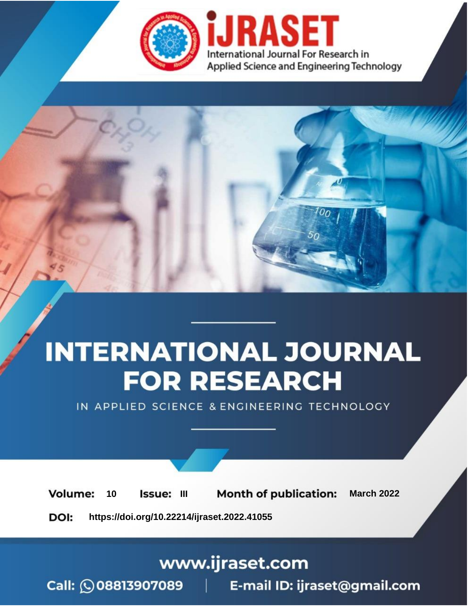

# **INTERNATIONAL JOURNAL FOR RESEARCH**

IN APPLIED SCIENCE & ENGINEERING TECHNOLOGY

10 **Issue: III Month of publication:** March 2022 **Volume:** 

**https://doi.org/10.22214/ijraset.2022.41055**DOI:

www.ijraset.com

Call: 008813907089 | E-mail ID: ijraset@gmail.com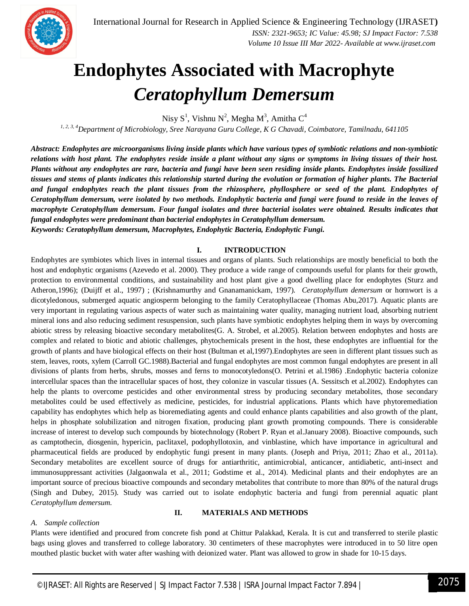

### **Endophytes Associated with Macrophyte**  *Ceratophyllum Demersum*

Nisy  $S^1$ , Vishnu N<sup>2</sup>, Megha M<sup>3</sup>, Amitha C<sup>4</sup>

*1, 2, 3, 4Department of Microbiology, Sree Narayana Guru College, K G Chavadi, Coimbatore, Tamilnadu, 641105*

*Abstract: Endophytes are microorganisms living inside plants which have various types of symbiotic relations and non-symbiotic relations with host plant. The endophytes reside inside a plant without any signs or symptoms in living tissues of their host. Plants without any endophytes are rare, bacteria and fungi have been seen residing inside plants. Endophytes inside fossilized tissues and stems of plants indicates this relationship started during the evolution or formation of higher plants. The Bacterial and fungal endophytes reach the plant tissues from the rhizosphere, phyllosphere or seed of the plant. Endophytes of Ceratophyllum demersum, were isolated by two methods. Endophytic bacteria and fungi were found to reside in the leaves of macrophyte Ceratophyllum demersum. Four fungal isolates and three bacterial isolates were obtained. Results indicates that fungal endophytes were predominant than bacterial endophytes in Ceratophyllum demersum. Keywords: Ceratophyllum demersum, Macrophytes, Endophytic Bacteria, Endophytic Fungi.*

#### **I. INTRODUCTION**

Endophytes are symbiotes which lives in internal tissues and organs of plants. Such relationships are mostly beneficial to both the host and endophytic organisms (Azevedo et al. 2000). They produce a wide range of compounds useful for plants for their growth, protection to environmental conditions, and sustainability and host plant give a good dwelling place for endophytes (Sturz and Atheron,1996); (Duijff et al., 1997) ; (Krishnamurthy and Gnanamanickam, 1997). *Ceratophyllum demersum* or hornwort is a dicotyledonous, submerged aquatic angiosperm belonging to the family Ceratophyllaceae (Thomas Abu,2017). Aquatic plants are very important in regulating various aspects of water such as maintaining water quality, managing nutrient load, absorbing nutrient mineral ions and also reducing sediment resuspension, such plants have symbiotic endophytes helping them in ways by overcoming abiotic stress by releasing bioactive secondary metabolites(G. A. Strobel, et al.2005). Relation between endophytes and hosts are complex and related to biotic and abiotic challenges, phytochemicals present in the host, these endophytes are influential for the growth of plants and have biological effects on their host (Bultman et al,1997).Endophytes are seen in different plant tissues such as stem, leaves, roots, xylem (Carroll GC.1988).Bacterial and fungal endophytes are most common fungal endophytes are present in all divisions of plants from herbs, shrubs, mosses and ferns to monocotyledons(O. Petrini et al.1986) .Endophytic bacteria colonize intercellular spaces than the intracellular spaces of host, they colonize in vascular tissues (A. Sessitsch et al.2002). Endophytes can help the plants to overcome pesticides and other environmental stress by producing secondary metabolites, those secondary metabolites could be used effectively as medicine, pesticides, for industrial applications. Plants which have phytoremediation capability has endophytes which help as bioremediating agents and could enhance plants capabilities and also growth of the plant, helps in phosphate solubilization and nitrogen fixation, producing plant growth promoting compounds. There is considerable increase of interest to develop such compounds by biotechnology (Robert P. Ryan et al.January 2008). Bioactive compounds, such as camptothecin, diosgenin, hypericin, paclitaxel, podophyllotoxin, and vinblastine, which have importance in agricultural and pharmaceutical fields are produced by endophytic fungi present in many plants. (Joseph and Priya, 2011; Zhao et al., 2011a). Secondary metabolites are excellent source of drugs for antiarthritic, antimicrobial, anticancer, antidiabetic, anti-insect and immunosuppressant activities (Jalgaonwala et al., 2011; Godstime et al., 2014). Medicinal plants and their endophytes are an important source of precious bioactive compounds and secondary metabolites that contribute to more than 80% of the natural drugs (Singh and Dubey, 2015). Study was carried out to isolate endophytic bacteria and fungi from perennial aquatic plant *Ceratophyllum demersum.*

#### *A. Sample collection*

#### **II. MATERIALS AND METHODS**

Plants were identified and procured from concrete fish pond at Chittur Palakkad, Kerala. It is cut and transferred to sterile plastic bags using gloves and transferred to college laboratory. 30 centimeters of these macrophytes were introduced in to 50 litre open mouthed plastic bucket with water after washing with deionized water. Plant was allowed to grow in shade for 10-15 days.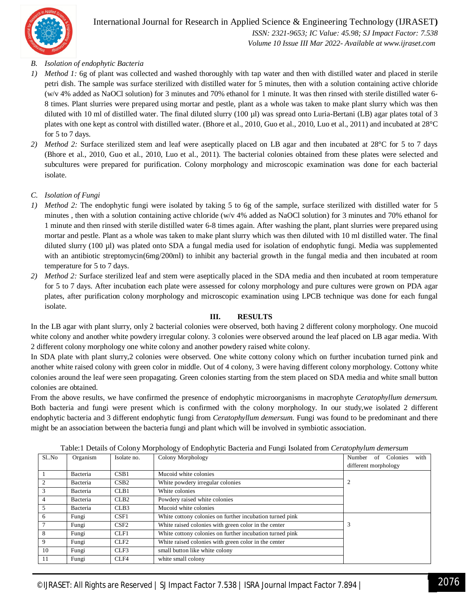

International Journal for Research in Applied Science & Engineering Technology (IJRASET**)**  *ISSN: 2321-9653; IC Value: 45.98; SJ Impact Factor: 7.538 Volume 10 Issue III Mar 2022- Available at www.ijraset.com*

#### *B. Isolation of endophytic Bacteria*

- *1) Method 1:* 6g of plant was collected and washed thoroughly with tap water and then with distilled water and placed in sterile petri dish. The sample was surface sterilized with distilled water for 5 minutes, then with a solution containing active chloride (w/v 4% added as NaOCl solution) for 3 minutes and 70% ethanol for 1 minute. It was then rinsed with sterile distilled water 6- 8 times. Plant slurries were prepared using mortar and pestle, plant as a whole was taken to make plant slurry which was then diluted with 10 ml of distilled water. The final diluted slurry (100 µl) was spread onto Luria-Bertani (LB) agar plates total of 3 plates with one kept as control with distilled water. (Bhore et al., 2010, Guo et al., 2010, Luo et al., 2011) and incubated at 28°C for 5 to 7 days.
- *2) Method 2:* Surface sterilized stem and leaf were aseptically placed on LB agar and then incubated at 28°C for 5 to 7 days (Bhore et al., 2010, Guo et al., 2010, Luo et al., 2011). The bacterial colonies obtained from these plates were selected and subcultures were prepared for purification. Colony morphology and microscopic examination was done for each bacterial isolate.
- *C. Isolation of Fungi*
- *1) Method 2:* The endophytic fungi were isolated by taking 5 to 6g of the sample, surface sterilized with distilled water for 5 minutes, then with a solution containing active chloride (w/v 4% added as NaOCl solution) for 3 minutes and 70% ethanol for 1 minute and then rinsed with sterile distilled water 6-8 times again. After washing the plant, plant slurries were prepared using mortar and pestle. Plant as a whole was taken to make plant slurry which was then diluted with 10 ml distilled water. The final diluted slurry (100 µl) was plated onto SDA a fungal media used for isolation of endophytic fungi. Media was supplemented with an antibiotic streptomycin(6mg/200ml) to inhibit any bacterial growth in the fungal media and then incubated at room temperature for 5 to 7 days.
- *2) Method 2:* Surface sterilized leaf and stem were aseptically placed in the SDA media and then incubated at room temperature for 5 to 7 days. After incubation each plate were assessed for colony morphology and pure cultures were grown on PDA agar plates, after purification colony morphology and microscopic examination using LPCB technique was done for each fungal isolate.

#### **III. RESULTS**

In the LB agar with plant slurry, only 2 bacterial colonies were observed, both having 2 different colony morphology. One mucoid white colony and another white powdery irregular colony. 3 colonies were observed around the leaf placed on LB agar media. With 2 different colony morphology one white colony and another powdery raised white colony.

In SDA plate with plant slurry,2 colonies were observed. One white cottony colony which on further incubation turned pink and another white raised colony with green color in middle. Out of 4 colony, 3 were having different colony morphology. Cottony white colonies around the leaf were seen propagating. Green colonies starting from the stem placed on SDA media and white small button colonies are obtained.

From the above results, we have confirmed the presence of endophytic microorganisms in macrophyte *Ceratophyllum demersum.*  Both bacteria and fungi were present which is confirmed with the colony morphology. In our study,we isolated 2 different endophytic bacteria and 3 different endophytic fungi from *Ceratophyllum demersum.* Fungi was found to be predominant and there might be an association between the bacteria fungi and plant which will be involved in symbiotic association.

| S1No | Organism | Isolate no.      | Colony Morphology                                        | with<br>Number of<br>Colonies |
|------|----------|------------------|----------------------------------------------------------|-------------------------------|
|      |          |                  |                                                          |                               |
|      |          |                  |                                                          | different morphology          |
|      | Bacteria | CSB1             | Mucoid white colonies                                    |                               |
|      | Bacteria | CSB2             | White powdery irregular colonies                         |                               |
| 3    | Bacteria | CLB1             | White colonies                                           |                               |
| 4    | Bacteria | CLB <sub>2</sub> | Powdery raised white colonies                            |                               |
| 5    | Bacteria | CLB <sub>3</sub> | Mucoid white colonies                                    |                               |
| 6    | Fungi    | CSF1             | White cottony colonies on further incubation turned pink |                               |
|      | Fungi    | CSE2             | White raised colonies with green color in the center     |                               |
| 8    | Fungi    | CLF1             | White cottony colonies on further incubation turned pink |                               |
| 9    | Fungi    | CLF <sub>2</sub> | White raised colonies with green color in the center     |                               |
| 10   | Fungi    | CLF3             | small button like white colony                           |                               |
| 11   | Fungi    | CLF4             | white small colony                                       |                               |

Table:1 Details of Colony Morphology of Endophytic Bacteria and Fungi Isolated from *Ceratophylum demersum*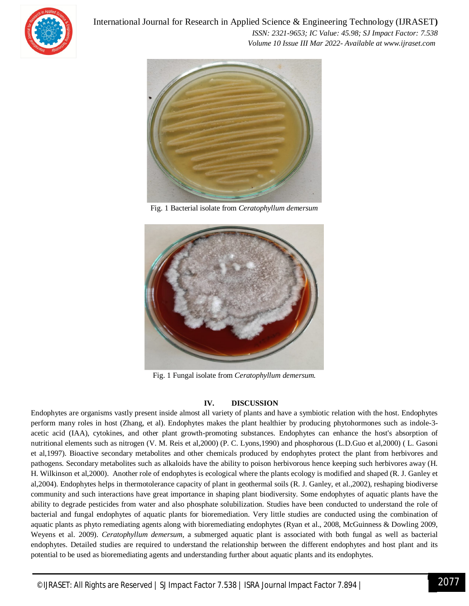

International Journal for Research in Applied Science & Engineering Technology (IJRASET**)**  *ISSN: 2321-9653; IC Value: 45.98; SJ Impact Factor: 7.538 Volume 10 Issue III Mar 2022- Available at www.ijraset.com*



Fig. 1 Bacterial isolate from *Ceratophyllum demersum*



Fig. 1 Fungal isolate from *Ceratophyllum demersum.*

#### **IV. DISCUSSION**

Endophytes are organisms vastly present inside almost all variety of plants and have a symbiotic relation with the host. Endophytes perform many roles in host (Zhang, et al). Endophytes makes the plant healthier by producing phytohormones such as indole-3 acetic acid (IAA), cytokines, and other plant growth-promoting substances. Endophytes can enhance the host's absorption of nutritional elements such as nitrogen (V. M. Reis et al,2000) (P. C. Lyons,1990) and phosphorous (L.D.Guo et al,2000) ( L. Gasoni et al,1997). Bioactive secondary metabolites and other chemicals produced by endophytes protect the plant from herbivores and pathogens. Secondary metabolites such as alkaloids have the ability to poison herbivorous hence keeping such herbivores away (H. H. Wilkinson et al,2000). Another role of endophytes is ecological where the plants ecology is modified and shaped (R. J. Ganley et al,2004). Endophytes helps in thermotolerance capacity of plant in geothermal soils (R. J. Ganley, et al.,2002), reshaping biodiverse community and such interactions have great importance in shaping plant biodiversity. Some endophytes of aquatic plants have the ability to degrade pesticides from water and also phosphate solubilization. Studies have been conducted to understand the role of bacterial and fungal endophytes of aquatic plants for bioremediation. Very little studies are conducted using the combination of aquatic plants as phyto remediating agents along with bioremediating endophytes (Ryan et al., 2008, McGuinness & Dowling 2009, Weyens et al. 2009). *Ceratophyllum demersum,* a submerged aquatic plant is associated with both fungal as well as bacterial endophytes. Detailed studies are required to understand the relationship between the different endophytes and host plant and its potential to be used as bioremediating agents and understanding further about aquatic plants and its endophytes.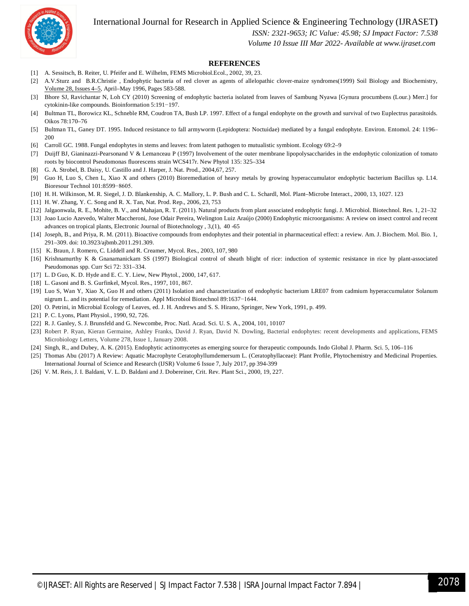International Journal for Research in Applied Science & Engineering Technology (IJRASET**)**



 *ISSN: 2321-9653; IC Value: 45.98; SJ Impact Factor: 7.538*

 *Volume 10 Issue III Mar 2022- Available at www.ijraset.com*

#### **REFERENCES**

- [1] A. Sessitsch, B. Reiter, U. Pfeifer and E. Wilhelm, FEMS Microbiol.Ecol., 2002, 39, 23.
- [2] A.V.Sturz and B.R.Christie , Endophytic bacteria of red clover as agents of allelopathic clover-maize syndromes(1999) Soil Biology and Biochemistry, Volume 28, Issues 4–5, April–May 1996, Pages 583-588.
- [3] Bhore SJ, Ravichantar N, Loh CY (2010) Screening of endophytic bacteria isolated from leaves of Sambung Nyawa [Gynura procumbens (Lour.) Merr.] for cytokinin-like compounds. Bioinformation 5:191−197.
- [4] Bultman TL, Borowicz KL, Schneble RM, Coudron TA, Bush LP. 1997. Effect of a fungal endophyte on the growth and survival of two Euplectrus parasitoids. Oikos 78:170–76
- [5] Bultman TL, Ganey DT. 1995. Induced resistance to fall armyworm (Lepidoptera: Noctuidae) mediated by a fungal endophyte. Environ. Entomol. 24: 1196– 200
- [6] Carroll GC. 1988. Fungal endophytes in stems and leaves: from latent pathogen to mutualistic symbiont. Ecology 69:2–9
- [7] Duijff BJ, Gianinazzi-Pearsonand V & Lemanceau P (1997) Involvement of the outer membrane lipopolysaccharides in the endophytic colonization of tomato roots by biocontrol Pseudomonas fluorescens strain WCS417r. New Phytol 135: 325–334
- [8] G. A. Strobel, B. Daisy, U. Castillo and J. Harper, J. Nat. Prod., 2004,67, 257.
- [9] Guo H, Luo S, Chen L, Xiao X and others (2010) Bioremediation of heavy metals by growing hyperaccumulator endophytic bacterium Bacillus sp. L14. Bioresour Technol 101:8599−8605.
- [10] H. H. Wilkinson, M. R. Siegel, J. D. Blankenship, A. C. Mallory, L. P. Bush and C. L. Schardl, Mol. Plant–Microbe Interact., 2000, 13, 1027. 123
- [11] H. W. Zhang, Y. C. Song and R. X. Tan, Nat. Prod. Rep., 2006, 23, 753
- [12] Jalgaonwala, R. E., Mohite, B. V., and Mahajan, R. T. (2011). Natural products from plant associated endophytic fungi. J. Microbiol. Biotechnol. Res. 1, 21–32
- [13] Joao Lucio Azevedo, Walter Maccheroni, Jose Odair Pereira, Welington Luiz Araújo (2000) Endophytic microorganisms: A review on insect control and recent advances on tropical plants, Electronic Journal of Biotechnology , 3,(1), 40 -65
- [14] Joseph, B., and Priya, R. M. (2011). Bioactive compounds from endophytes and their potential in pharmaceutical effect: a review. Am. J. Biochem. Mol. Bio. 1, 291–309. doi: 10.3923/ajbmb.2011.291.309.
- [15] K. Braun, J. Romero, C. Liddell and R. Creamer, Mycol. Res., 2003, 107, 980
- [16] Krishnamurthy K & Gnanamanickam SS (1997) Biological control of sheath blight of rice: induction of systemic resistance in rice by plant-associated Pseudomonas spp. Curr Sci 72: 331–334.
- [17] L. D Guo, K. D. Hyde and E. C. Y. Liew, New Phytol., 2000, 147, 617.
- [18] L. Gasoni and B. S. Gurfinkel, Mycol. Res., 1997, 101, 867.
- [19] Luo S, Wan Y, Xiao X, Guo H and others (2011) Isolation and characterization of endophytic bacterium LRE07 from cadmium hyperaccumulator Solanum nigrum L. and its potential for remediation. Appl Microbiol Biotechnol 89:1637−1644.
- [20] O. Petrini, in Microbial Ecology of Leaves, ed. J. H. Andrews and S. S. Hirano, Springer, New York, 1991, p. 499.
- [21] P. C. Lyons, Plant Physiol., 1990, 92, 726.
- [22] R. J. Ganley, S. J. Brunsfeld and G. Newcombe, Proc. Natl. Acad. Sci. U. S. A., 2004, 101, 10107
- [23] Robert P. Ryan, Kieran Germaine, Ashley Franks, David J. Ryan, David N. Dowling, Bacterial endophytes: recent developments and applications, FEMS Microbiology Letters, Volume 278, Issue 1, January 2008.
- [24] Singh, R., and Dubey, A. K. (2015). Endophytic actinomycetes as emerging source for therapeutic compounds. Indo Global J. Pharm. Sci. 5, 106–116
- [25] Thomas Abu (2017) A Review: Aquatic Macrophyte Ceratophyllumdemersum L. (Ceratophyllaceae): Plant Profile, Phytochemistry and Medicinal Properties. International Journal of Science and Research (IJSR) Volume 6 Issue 7, July 2017, pp 394-399
- [26] V. M. Reis, J. I. Baldani, V. L. D. Baldani and J. Dobereiner, Crit. Rev. Plant Sci., 2000, 19, 227.